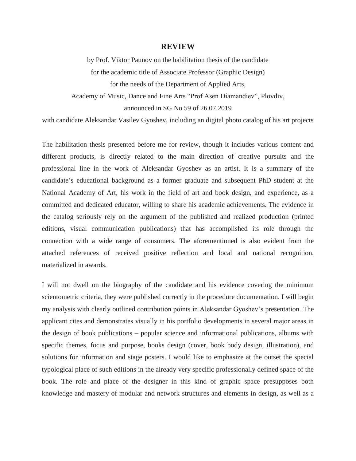## **REVIEW**

by Prof. Viktor Paunov on the habilitation thesis of the candidate for the academic title of Associate Professor (Graphic Design) for the needs of the Department of Applied Arts, Academy of Music, Dance and Fine Arts "Prof Asen Diamandiev", Plovdiv, announced in SG No 59 of 26.07.2019

with candidate Aleksandar Vasilev Gyoshev, including an digital photo catalog of his art projects

The habilitation thesis presented before me for review, though it includes various content and different products, is directly related to the main direction of creative pursuits and the professional line in the work of Aleksandar Gyoshev as an artist. It is a summary of the candidate's educational background as a former graduate and subsequent PhD student at the National Academy of Art, his work in the field of art and book design, and experience, as a committed and dedicated educator, willing to share his academic achievements. The evidence in the catalog seriously rely on the argument of the published and realized production (printed editions, visual communication publications) that has accomplished its role through the connection with a wide range of consumers. The aforementioned is also evident from the attached references of received positive reflection and local and national recognition, materialized in awards.

I will not dwell on the biography of the candidate and his evidence covering the minimum scientometric criteria, they were published correctly in the procedure documentation. I will begin my analysis with clearly outlined contribution points in Aleksandar Gyoshev's presentation. The applicant cites and demonstrates visually in his portfolio developments in several major areas in the design of book publications – popular science and informational publications, albums with specific themes, focus and purpose, books design (cover, book body design, illustration), and solutions for information and stage posters. I would like to emphasize at the outset the special typological place of such editions in the already very specific professionally defined space of the book. The role and place of the designer in this kind of graphic space presupposes both knowledge and mastery of modular and network structures and elements in design, as well as a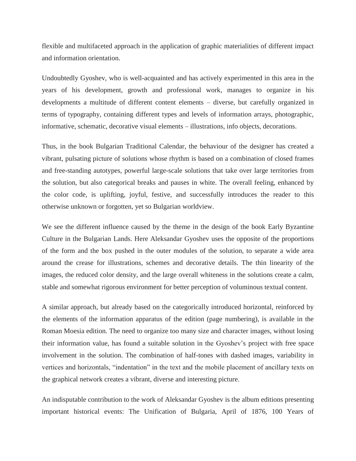flexible and multifaceted approach in the application of graphic materialities of different impact and information orientation.

Undoubtedly Gyoshev, who is well-acquainted and has actively experimented in this area in the years of his development, growth and professional work, manages to organize in his developments a multitude of different content elements – diverse, but carefully organized in terms of typography, containing different types and levels of information arrays, photographic, informative, schematic, decorative visual elements – illustrations, info objects, decorations.

Thus, in the book Bulgarian Traditional Calendar, the behaviour of the designer has created a vibrant, pulsating picture of solutions whose rhythm is based on a combination of closed frames and free-standing autotypes, powerful large-scale solutions that take over large territories from the solution, but also categorical breaks and pauses in white. The overall feeling, enhanced by the color code, is uplifting, joyful, festive, and successfully introduces the reader to this otherwise unknown or forgotten, yet so Bulgarian worldview.

We see the different influence caused by the theme in the design of the book Early Byzantine Culture in the Bulgarian Lands. Here Aleksandar Gyoshev uses the opposite of the proportions of the form and the box pushed in the outer modules of the solution, to separate a wide area around the crease for illustrations, schemes and decorative details. The thin linearity of the images, the reduced color density, and the large overall whiteness in the solutions create a calm, stable and somewhat rigorous environment for better perception of voluminous textual content.

A similar approach, but already based on the categorically introduced horizontal, reinforced by the elements of the information apparatus of the edition (page numbering), is available in the Roman Moesia edition. The need to organize too many size and character images, without losing their information value, has found a suitable solution in the Gyoshev's project with free space involvement in the solution. The combination of half-tones with dashed images, variability in vertices and horizontals, "indentation" in the text and the mobile placement of ancillary texts on the graphical network creates a vibrant, diverse and interesting picture.

An indisputable contribution to the work of Aleksandar Gyoshev is the album editions presenting important historical events: The Unification of Bulgaria, April of 1876, 100 Years of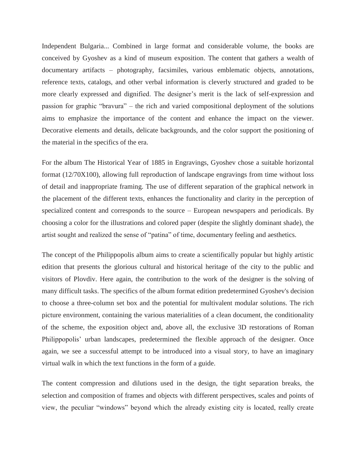Independent Bulgaria... Combined in large format and considerable volume, the books are conceived by Gyoshev as a kind of museum exposition. The content that gathers a wealth of documentary artifacts – photography, facsimiles, various emblematic objects, annotations, reference texts, catalogs, and other verbal information is cleverly structured and graded to be more clearly expressed and dignified. The designer's merit is the lack of self-expression and passion for graphic "bravura" – the rich and varied compositional deployment of the solutions aims to emphasize the importance of the content and enhance the impact on the viewer. Decorative elements and details, delicate backgrounds, and the color support the positioning of the material in the specifics of the era.

For the album The Historical Year of 1885 in Engravings, Gyoshev chose a suitable horizontal format (12/70X100), allowing full reproduction of landscape engravings from time without loss of detail and inappropriate framing. The use of different separation of the graphical network in the placement of the different texts, enhances the functionality and clarity in the perception of specialized content and corresponds to the source – European newspapers and periodicals. By choosing a color for the illustrations and colored paper (despite the slightly dominant shade), the artist sought and realized the sense of "patina" of time, documentary feeling and aesthetics.

The concept of the Philippopolis album aims to create a scientifically popular but highly artistic edition that presents the glorious cultural and historical heritage of the city to the public and visitors of Plovdiv. Here again, the contribution to the work of the designer is the solving of many difficult tasks. The specifics of the album format edition predetermined Gyoshev's decision to choose a three-column set box and the potential for multivalent modular solutions. The rich picture environment, containing the various materialities of a clean document, the conditionality of the scheme, the exposition object and, above all, the exclusive 3D restorations of Roman Philippopolis' urban landscapes, predetermined the flexible approach of the designer. Once again, we see a successful attempt to be introduced into a visual story, to have an imaginary virtual walk in which the text functions in the form of a guide.

The content compression and dilutions used in the design, the tight separation breaks, the selection and composition of frames and objects with different perspectives, scales and points of view, the peculiar "windows" beyond which the already existing city is located, really create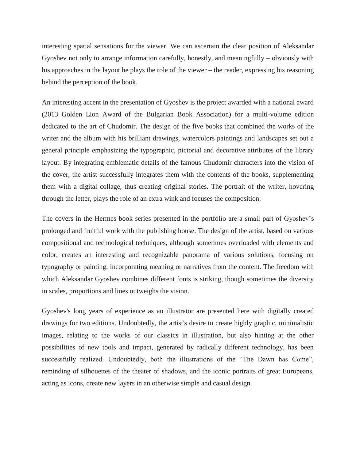interesting spatial sensations for the viewer. We can ascertain the clear position of Aleksandar Gyoshev not only to arrange information carefully, honestly, and meaningfully – obviously with his approaches in the layout he plays the role of the viewer – the reader, expressing his reasoning behind the perception of the book.

An interesting accent in the presentation of Gyoshev is the project awarded with a national award (2013 Golden Lion Award of the Bulgarian Book Association) for a multi-volume edition dedicated to the art of Chudomir. The design of the five books that combined the works of the writer and the album with his brilliant drawings, watercolors paintings and landscapes set out a general principle emphasizing the typographic, pictorial and decorative attributes of the library layout. By integrating emblematic details of the famous Chudomir characters into the vision of the cover, the artist successfully integrates them with the contents of the books, supplementing them with a digital collage, thus creating original stories. The portrait of the writer, hovering through the letter, plays the role of an extra wink and focuses the composition.

The covers in the Hermes book series presented in the portfolio are a small part of Gyoshev's prolonged and fruitful work with the publishing house. The design of the artist, based on various compositional and technological techniques, although sometimes overloaded with elements and color, creates an interesting and recognizable panorama of various solutions, focusing on typography or painting, incorporating meaning or narratives from the content. The freedom with which Aleksandar Gyoshev combines different fonts is striking, though sometimes the diversity in scales, proportions and lines outweighs the vision.

Gyoshev's long years of experience as an illustrator are presented here with digitally created drawings for two editions. Undoubtedly, the artist's desire to create highly graphic, minimalistic images, relating to the works of our classics in illustration, but also hinting at the other possibilities of new tools and impact, generated by radically different technology, has been successfully realized. Undoubtedly, both the illustrations of the "The Dawn has Come", reminding of silhouettes of the theater of shadows, and the iconic portraits of great Europeans, acting as icons, create new layers in an otherwise simple and casual design.